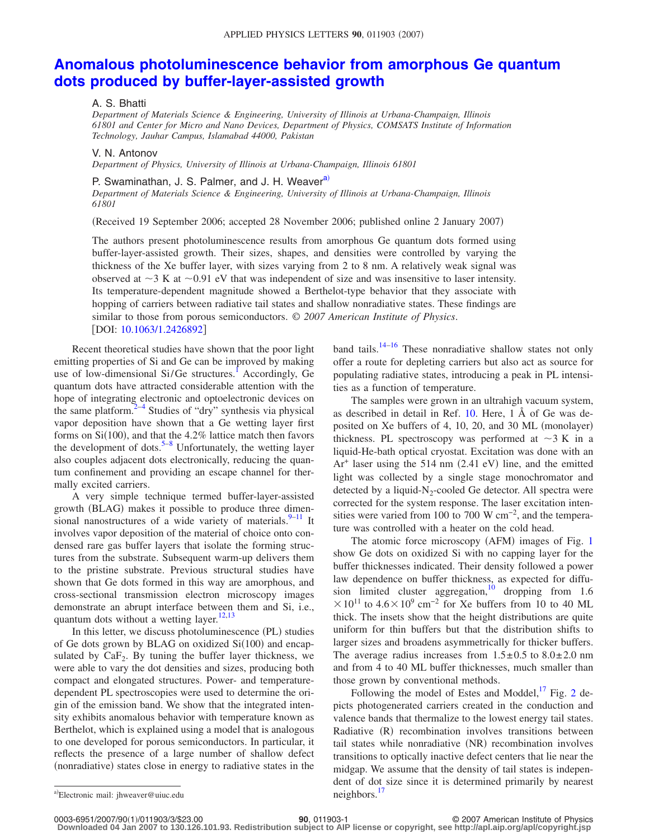## **[Anomalous photoluminescence behavior from amorphous Ge quantum](http://dx.doi.org/10.1063/1.2426892) [dots produced by buffer-layer-assisted growth](http://dx.doi.org/10.1063/1.2426892)**

## A. S. Bhatti

*Department of Materials Science & Engineering, University of Illinois at Urbana-Champaign, Illinois 61801 and Center for Micro and Nano Devices, Department of Physics, COMSATS Institute of Information Technology, Jauhar Campus, Islamabad 44000, Pakistan*

V. N. Antonov

*Department of Physics, University of Illinois at Urbana-Champaign, Illinois 61801*

## P. Swaminathan, J. S. Palmer, and J. H. Weaver<sup>a)</sup>

*Department of Materials Science & Engineering, University of Illinois at Urbana-Champaign, Illinois 61801*

(Received 19 September 2006; accepted 28 November 2006; published online 2 January 2007)

The authors present photoluminescence results from amorphous Ge quantum dots formed using buffer-layer-assisted growth. Their sizes, shapes, and densities were controlled by varying the thickness of the Xe buffer layer, with sizes varying from 2 to 8 nm. A relatively weak signal was observed at  $\sim$ 3 K at  $\sim$ 0.91 eV that was independent of size and was insensitive to laser intensity. Its temperature-dependent magnitude showed a Berthelot-type behavior that they associate with hopping of carriers between radiative tail states and shallow nonradiative states. These findings are similar to those from porous semiconductors. © *2007 American Institute of Physics*. [DOI: [10.1063/1.2426892](http://dx.doi.org/10.1063/1.2426892)]

Recent theoretical studies have shown that the poor light emitting properties of Si and Ge can be improved by making use of low-dimensional Si/Ge structures.<sup>1</sup> Accordingly, Ge quantum dots have attracted considerable attention with the hope of integrating electronic and optoelectronic devices on the same platform.<sup>2–[4](#page-2-2)</sup> Studies of "dry" synthesis via physical vapor deposition have shown that a Ge wetting layer first forms on  $Si(100)$ , and that the 4.2% lattice match then favors the development of dots.<sup>5–[8](#page-2-4)</sup> Unfortunately, the wetting layer also couples adjacent dots electronically, reducing the quantum confinement and providing an escape channel for thermally excited carriers.

A very simple technique termed buffer-layer-assisted growth (BLAG) makes it possible to produce three dimensional nanostructures of a wide variety of materials. $9-11$  $9-11$  It involves vapor deposition of the material of choice onto condensed rare gas buffer layers that isolate the forming structures from the substrate. Subsequent warm-up delivers them to the pristine substrate. Previous structural studies have shown that Ge dots formed in this way are amorphous, and cross-sectional transmission electron microscopy images demonstrate an abrupt interface between them and Si, i.e., quantum dots without a wetting layer. $12,13$  $12,13$ 

In this letter, we discuss photoluminescence (PL) studies of Ge dots grown by BLAG on oxidized Si(100) and encapsulated by  $CaF<sub>2</sub>$ . By tuning the buffer layer thickness, we were able to vary the dot densities and sizes, producing both compact and elongated structures. Power- and temperaturedependent PL spectroscopies were used to determine the origin of the emission band. We show that the integrated intensity exhibits anomalous behavior with temperature known as Berthelot, which is explained using a model that is analogous to one developed for porous semiconductors. In particular, it reflects the presence of a large number of shallow defect (nonradiative) states close in energy to radiative states in the

band tails.<sup>14[–16](#page-2-10)</sup> These nonradiative shallow states not only offer a route for depleting carriers but also act as source for populating radiative states, introducing a peak in PL intensities as a function of temperature.

The samples were grown in an ultrahigh vacuum system, as described in detail in Ref. [10.](#page-2-11) Here, 1 Å of Ge was deposited on Xe buffers of 4, 10, 20, and 30 ML (monolayer) thickness. PL spectroscopy was performed at  $\sim$ 3 K in a liquid-He-bath optical cryostat. Excitation was done with an  $Ar<sup>+</sup>$  laser using the 514 nm (2.41 eV) line, and the emitted light was collected by a single stage monochromator and detected by a liquid- $N_2$ -cooled Ge detector. All spectra were corrected for the system response. The laser excitation intensities were varied from 100 to 700 W cm−2, and the temperature was controlled with a heater on the cold head.

The atomic force microscopy (AFM) images of Fig. [1](#page-1-0) show Ge dots on oxidized Si with no capping layer for the buffer thicknesses indicated. Their density followed a power law dependence on buffer thickness, as expected for diffusion limited cluster aggregation,<sup>10</sup> dropping from 1.6  $10^{11}$  to 4.6 × 10<sup>9</sup> cm<sup>-2</sup> for Xe buffers from 10 to 40 ML thick. The insets show that the height distributions are quite uniform for thin buffers but that the distribution shifts to larger sizes and broadens asymmetrically for thicker buffers. The average radius increases from  $1.5 \pm 0.5$  to  $8.0 \pm 2.0$  nm and from 4 to 40 ML buffer thicknesses, much smaller than those grown by conventional methods.

Following the model of Estes and Moddel, $^{17}$  Fig. [2](#page-1-1) depicts photogenerated carriers created in the conduction and valence bands that thermalize to the lowest energy tail states. Radiative (R) recombination involves transitions between tail states while nonradiative (NR) recombination involves transitions to optically inactive defect centers that lie near the midgap. We assume that the density of tail states is independent of dot size since it is determined primarily by nearest neighbors.<sup>17</sup>

**Downloaded 04 Jan 2007 to 130.126.101.93. Redistribution subject to AIP license or copyright, see http://apl.aip.org/apl/copyright.jsp**

<span id="page-0-0"></span>a)Electronic mail: jhweaver@uiuc.edu neighbors.<sup>[17](#page-2-12)</sup>

**<sup>100</sup>**, 011903-1 **2007** © 2007 American Institute of Physics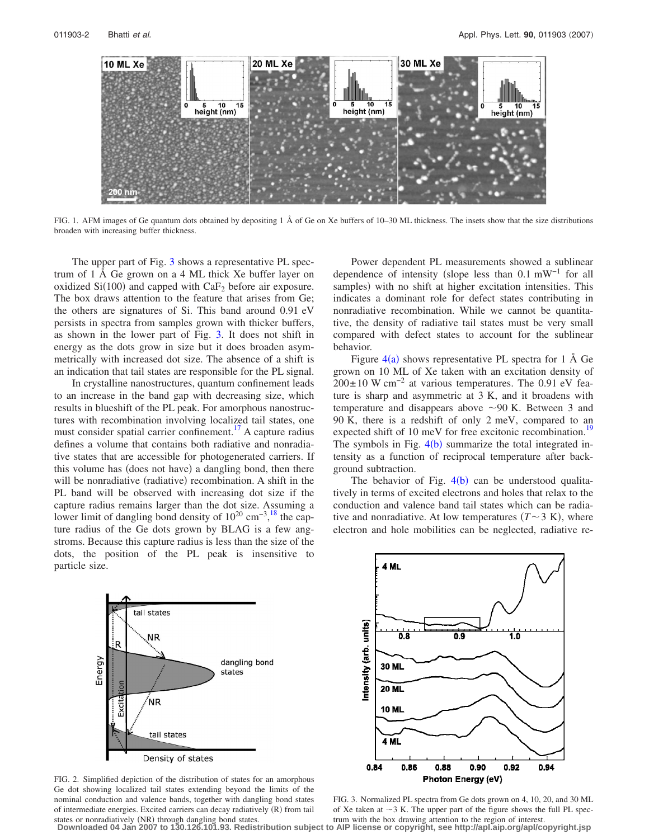<span id="page-1-0"></span>

FIG. 1. AFM images of Ge quantum dots obtained by depositing 1 Å of Ge on Xe buffers of 10–30 ML thickness. The insets show that the size distributions broaden with increasing buffer thickness.

The upper part of Fig. [3](#page-1-2) shows a representative PL spectrum of 1 Å Ge grown on a 4 ML thick Xe buffer layer on oxidized  $Si(100)$  and capped with  $CaF<sub>2</sub>$  before air exposure. The box draws attention to the feature that arises from Ge; the others are signatures of Si. This band around 0.91 eV persists in spectra from samples grown with thicker buffers, as shown in the lower part of Fig. [3.](#page-1-2) It does not shift in energy as the dots grow in size but it does broaden asymmetrically with increased dot size. The absence of a shift is an indication that tail states are responsible for the PL signal.

In crystalline nanostructures, quantum confinement leads to an increase in the band gap with decreasing size, which results in blueshift of the PL peak. For amorphous nanostructures with recombination involving localized tail states, one must consider spatial carrier confinement.<sup>17</sup> A capture radius defines a volume that contains both radiative and nonradiative states that are accessible for photogenerated carriers. If this volume has (does not have) a dangling bond, then there will be nonradiative (radiative) recombination. A shift in the PL band will be observed with increasing dot size if the capture radius remains larger than the dot size. Assuming a lower limit of dangling bond density of  $10^{20}$  cm<sup>-3</sup>,<sup>[18](#page-2-13)</sup> the capture radius of the Ge dots grown by BLAG is a few angstroms. Because this capture radius is less than the size of the dots, the position of the PL peak is insensitive to particle size.

<span id="page-1-1"></span>

FIG. 2. Simplified depiction of the distribution of states for an amorphous Ge dot showing localized tail states extending beyond the limits of the nominal conduction and valence bands, together with dangling bond states of intermediate energies. Excited carriers can decay radiatively (R) from tail states or nonradiatively (NR) through dangling bond states.

Power dependent PL measurements showed a sublinear dependence of intensity (slope less than  $0.1 \text{ mW}^{-1}$  for all samples) with no shift at higher excitation intensities. This indicates a dominant role for defect states contributing in nonradiative recombination. While we cannot be quantitative, the density of radiative tail states must be very small compared with defect states to account for the sublinear behavior.

Figure  $4(a)$  $4(a)$  shows representative PL spectra for 1 Å Ge grown on 10 ML of Xe taken with an excitation density of  $200 \pm 10$  W cm<sup>-2</sup> at various temperatures. The 0.91 eV feature is sharp and asymmetric at 3 K, and it broadens with temperature and disappears above  $\sim$ 90 K. Between 3 and 90 K, there is a redshift of only 2 meV, compared to an expected shift of 10 meV for free excitonic recombination.<sup>19</sup> The symbols in Fig.  $4(b)$  $4(b)$  summarize the total integrated intensity as a function of reciprocal temperature after background subtraction.

The behavior of Fig.  $4(b)$  $4(b)$  can be understood qualitatively in terms of excited electrons and holes that relax to the conduction and valence band tail states which can be radiative and nonradiative. At low temperatures  $(T \sim 3 \text{ K})$ , where electron and hole mobilities can be neglected, radiative re-

<span id="page-1-2"></span>

FIG. 3. Normalized PL spectra from Ge dots grown on 4, 10, 20, and 30 ML of Xe taken at  $\sim$ 3 K. The upper part of the figure shows the full PL spectrum with the box drawing attention to the region of interest.

**Downloaded 04 Jan 2007 to 130.126.101.93. Redistribution subject to AIP license or copyright, see http://apl.aip.org/apl/copyright.jsp**